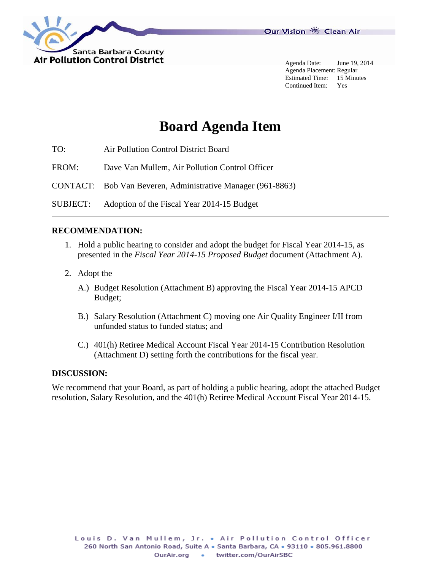

Agenda Date: June 19, 2014 Agenda Placement: Regular Estimated Time: 15 Minutes Continued Item: Yes

# **Board Agenda Item**

TO: Air Pollution Control District Board

FROM: Dave Van Mullem, Air Pollution Control Officer

CONTACT: Bob Van Beveren, Administrative Manager (961-8863)

SUBJECT: Adoption of the Fiscal Year 2014-15 Budget

#### **RECOMMENDATION:**

- 1. Hold a public hearing to consider and adopt the budget for Fiscal Year 2014-15, as presented in the *Fiscal Year 2014-15 Proposed Budget* document (Attachment A).
- 2. Adopt the
	- A.) Budget Resolution (Attachment B) approving the Fiscal Year 2014-15 APCD Budget;
	- B.) Salary Resolution (Attachment C) moving one Air Quality Engineer I/II from unfunded status to funded status; and
	- C.) 401(h) Retiree Medical Account Fiscal Year 2014-15 Contribution Resolution (Attachment D) setting forth the contributions for the fiscal year.

### **DISCUSSION:**

We recommend that your Board, as part of holding a public hearing, adopt the attached Budget resolution, Salary Resolution, and the 401(h) Retiree Medical Account Fiscal Year 2014-15.